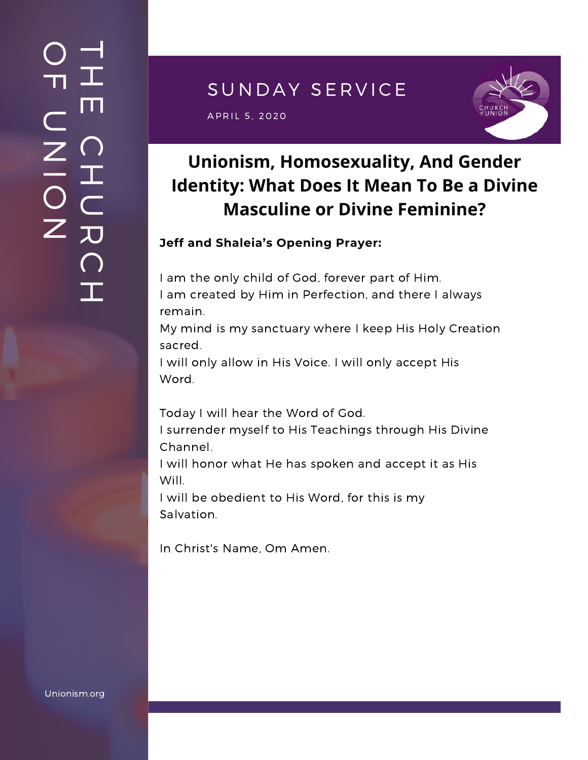## SUNDAY SERVICE

 $\mathsf{APRIL}$  5, 2020 and  $\mathsf{SPRIL}$  and  $\mathsf{SPRIL}$ 



# **Unionism, Homosexuality, And Gender Identity: What Does It Mean To Be a Divine Masculine or Divine Feminine?**

### **Jeff and Shaleia's Opening Prayer:**

I am the only child of God, forever part of Him. I am created by Him in Perfection, and there I always remain.

My mind is my sanctuary where I keep His Holy Creation sacred.

I will only allow in His Voice. I will only accept His Word.

Today I will hear the Word of God.

I surrender myself to His Teachings through His Divine Channel.

I will honor what He has spoken and accept it as His Will.

I will be obedient to His Word, for this is my Salvation.

In Christ's Name, Om Amen.